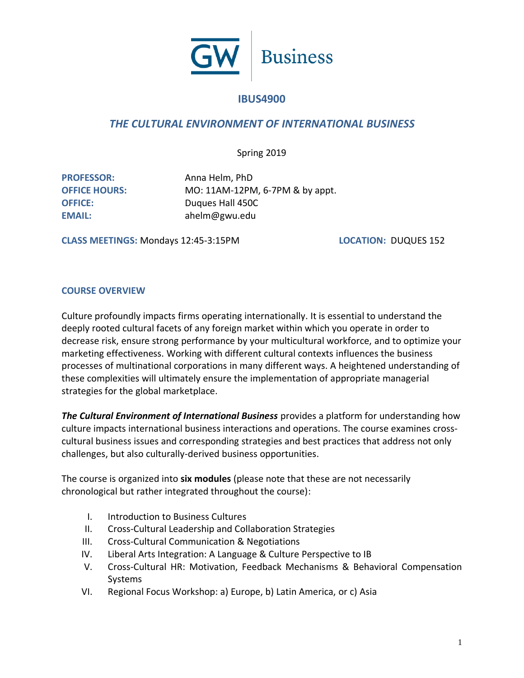

# **IBUS4900**

# *THE CULTURAL ENVIRONMENT OF INTERNATIONAL BUSINESS*

Spring 2019

**PROFESSOR:** Anna Helm, PhD **OFFICE HOURS:** MO: 11AM-12PM, 6-7PM & by appt. **OFFICE:** Duques Hall 450C **EMAIL:** ahelm@gwu.edu

**CLASS MEETINGS:** Mondays 12:45-3:15PM **LOCATION:** DUQUES 152

#### **COURSE OVERVIEW**

Culture profoundly impacts firms operating internationally. It is essential to understand the deeply rooted cultural facets of any foreign market within which you operate in order to decrease risk, ensure strong performance by your multicultural workforce, and to optimize your marketing effectiveness. Working with different cultural contexts influences the business processes of multinational corporations in many different ways. A heightened understanding of these complexities will ultimately ensure the implementation of appropriate managerial strategies for the global marketplace.

*The Cultural Environment of International Business* provides a platform for understanding how culture impacts international business interactions and operations. The course examines crosscultural business issues and corresponding strategies and best practices that address not only challenges, but also culturally-derived business opportunities.

The course is organized into **six modules** (please note that these are not necessarily chronological but rather integrated throughout the course):

- I. Introduction to Business Cultures
- II. Cross-Cultural Leadership and Collaboration Strategies
- III. Cross-Cultural Communication & Negotiations
- IV. Liberal Arts Integration: A Language & Culture Perspective to IB
- V. Cross-Cultural HR: Motivation, Feedback Mechanisms & Behavioral Compensation Systems
- VI. Regional Focus Workshop: a) Europe, b) Latin America, or c) Asia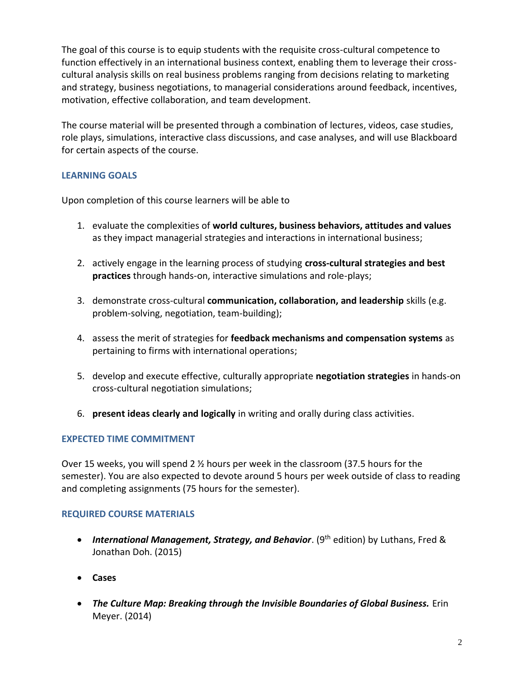The goal of this course is to equip students with the requisite cross-cultural competence to function effectively in an international business context, enabling them to leverage their crosscultural analysis skills on real business problems ranging from decisions relating to marketing and strategy, business negotiations, to managerial considerations around feedback, incentives, motivation, effective collaboration, and team development.

The course material will be presented through a combination of lectures, videos, case studies, role plays, simulations, interactive class discussions, and case analyses, and will use Blackboard for certain aspects of the course.

## **LEARNING GOALS**

Upon completion of this course learners will be able to

- 1. evaluate the complexities of **world cultures, business behaviors, attitudes and values** as they impact managerial strategies and interactions in international business;
- 2. actively engage in the learning process of studying **cross-cultural strategies and best practices** through hands-on, interactive simulations and role-plays;
- 3. demonstrate cross-cultural **communication, collaboration, and leadership** skills (e.g. problem-solving, negotiation, team-building);
- 4. assess the merit of strategies for **feedback mechanisms and compensation systems** as pertaining to firms with international operations;
- 5. develop and execute effective, culturally appropriate **negotiation strategies** in hands-on cross-cultural negotiation simulations;
- 6. **present ideas clearly and logically** in writing and orally during class activities.

## **EXPECTED TIME COMMITMENT**

Over 15 weeks, you will spend 2 ½ hours per week in the classroom (37.5 hours for the semester). You are also expected to devote around 5 hours per week outside of class to reading and completing assignments (75 hours for the semester).

## **REQUIRED COURSE MATERIALS**

- *International Management, Strategy, and Behavior*. (9<sup>th</sup> edition) by Luthans, Fred & Jonathan Doh. (2015)
- **Cases**
- *The Culture Map: Breaking through the Invisible Boundaries of Global Business.* Erin Meyer. (2014)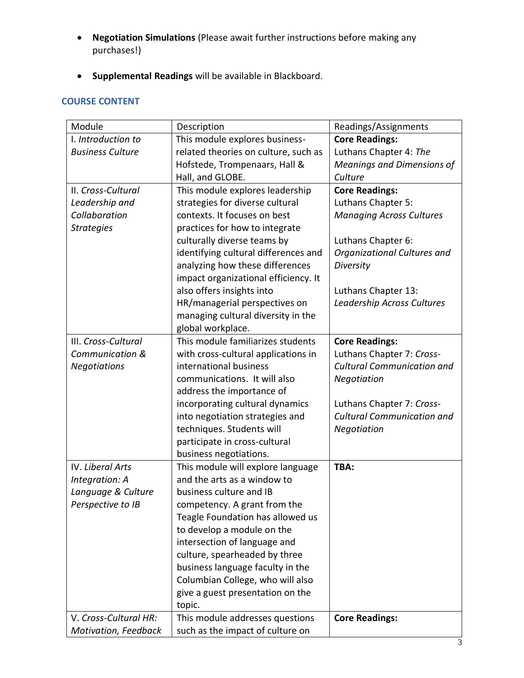- **Negotiation Simulations** (Please await further instructions before making any purchases!)
- **Supplemental Readings** will be available in Blackboard.

## **COURSE CONTENT**

| Module                  | Description                          | Readings/Assignments              |  |  |
|-------------------------|--------------------------------------|-----------------------------------|--|--|
| I. Introduction to      | This module explores business-       | <b>Core Readings:</b>             |  |  |
| <b>Business Culture</b> | related theories on culture, such as | Luthans Chapter 4: The            |  |  |
|                         | Hofstede, Trompenaars, Hall &        | <b>Meanings and Dimensions of</b> |  |  |
|                         | Hall, and GLOBE.                     | Culture                           |  |  |
| II. Cross-Cultural      | This module explores leadership      | <b>Core Readings:</b>             |  |  |
| Leadership and          | strategies for diverse cultural      | Luthans Chapter 5:                |  |  |
| Collaboration           | contexts. It focuses on best         | <b>Managing Across Cultures</b>   |  |  |
| <b>Strategies</b>       | practices for how to integrate       |                                   |  |  |
|                         | culturally diverse teams by          | Luthans Chapter 6:                |  |  |
|                         | identifying cultural differences and | Organizational Cultures and       |  |  |
|                         | analyzing how these differences      | Diversity                         |  |  |
|                         | impact organizational efficiency. It |                                   |  |  |
|                         | also offers insights into            | Luthans Chapter 13:               |  |  |
|                         | HR/managerial perspectives on        | Leadership Across Cultures        |  |  |
|                         | managing cultural diversity in the   |                                   |  |  |
|                         | global workplace.                    |                                   |  |  |
| III. Cross-Cultural     | This module familiarizes students    | <b>Core Readings:</b>             |  |  |
| Communication &         | with cross-cultural applications in  | Luthans Chapter 7: Cross-         |  |  |
| <b>Negotiations</b>     | international business               | <b>Cultural Communication and</b> |  |  |
|                         | communications. It will also         | Negotiation                       |  |  |
|                         | address the importance of            |                                   |  |  |
|                         | incorporating cultural dynamics      | Luthans Chapter 7: Cross-         |  |  |
|                         | into negotiation strategies and      | <b>Cultural Communication and</b> |  |  |
|                         | techniques. Students will            | Negotiation                       |  |  |
|                         | participate in cross-cultural        |                                   |  |  |
|                         | business negotiations.               |                                   |  |  |
| <b>IV. Liberal Arts</b> | This module will explore language    | TBA:                              |  |  |
| Integration: A          | and the arts as a window to          |                                   |  |  |
| Language & Culture      | business culture and IB              |                                   |  |  |
| Perspective to IB       | competency. A grant from the         |                                   |  |  |
|                         | Teagle Foundation has allowed us     |                                   |  |  |
|                         | to develop a module on the           |                                   |  |  |
|                         | intersection of language and         |                                   |  |  |
|                         | culture, spearheaded by three        |                                   |  |  |
|                         | business language faculty in the     |                                   |  |  |
|                         | Columbian College, who will also     |                                   |  |  |
|                         | give a guest presentation on the     |                                   |  |  |
|                         | topic.                               |                                   |  |  |
| V. Cross-Cultural HR:   | This module addresses questions      | <b>Core Readings:</b>             |  |  |
| Motivation, Feedback    | such as the impact of culture on     |                                   |  |  |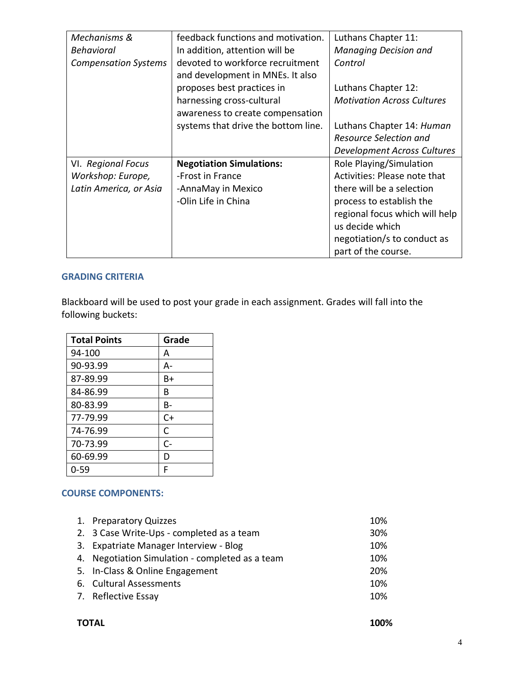| Mechanisms &                | feedback functions and motivation.  | Luthans Chapter 11:               |  |  |
|-----------------------------|-------------------------------------|-----------------------------------|--|--|
| <b>Behavioral</b>           | In addition, attention will be      | <b>Managing Decision and</b>      |  |  |
| <b>Compensation Systems</b> | devoted to workforce recruitment    | Control                           |  |  |
|                             | and development in MNEs. It also    | Luthans Chapter 12:               |  |  |
|                             | proposes best practices in          |                                   |  |  |
|                             | harnessing cross-cultural           | <b>Motivation Across Cultures</b> |  |  |
|                             | awareness to create compensation    |                                   |  |  |
|                             | systems that drive the bottom line. | Luthans Chapter 14: Human         |  |  |
|                             |                                     | Resource Selection and            |  |  |
|                             |                                     | Development Across Cultures       |  |  |
| VI. Regional Focus          | <b>Negotiation Simulations:</b>     | Role Playing/Simulation           |  |  |
| Workshop: Europe,           | -Frost in France                    | Activities: Please note that      |  |  |
| Latin America, or Asia      | -AnnaMay in Mexico                  | there will be a selection         |  |  |
|                             | -Olin Life in China                 | process to establish the          |  |  |
|                             |                                     | regional focus which will help    |  |  |
|                             |                                     | us decide which                   |  |  |
|                             |                                     | negotiation/s to conduct as       |  |  |
|                             |                                     | part of the course.               |  |  |

#### **GRADING CRITERIA**

Blackboard will be used to post your grade in each assignment. Grades will fall into the following buckets:

| <b>Total Points</b> | Grade |
|---------------------|-------|
| 94-100              | А     |
| 90-93.99            | А-    |
| 87-89.99            | B+    |
| 84-86.99            | В     |
| 80-83.99            | B-    |
| 77-79.99            | $C+$  |
| 74-76.99            | C     |
| 70-73.99            | $C -$ |
| 60-69.99            | D     |
| $0 - 59$            | F     |

### **COURSE COMPONENTS:**

| 1. Preparatory Quizzes                          | 10% |
|-------------------------------------------------|-----|
| 2. 3 Case Write-Ups - completed as a team       | 30% |
| 3. Expatriate Manager Interview - Blog          | 10% |
| 4. Negotiation Simulation - completed as a team | 10% |
| 5. In-Class & Online Engagement                 | 20% |
| 6. Cultural Assessments                         | 10% |
| 7. Reflective Essay                             | 10% |
|                                                 |     |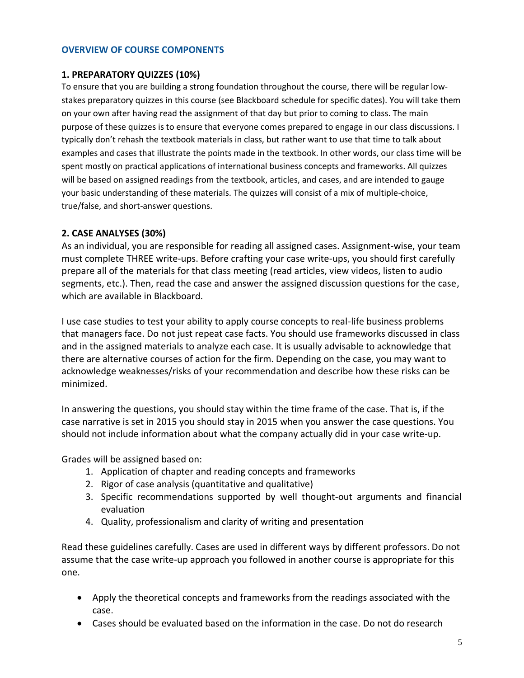#### **OVERVIEW OF COURSE COMPONENTS**

#### **1. PREPARATORY QUIZZES (10%)**

To ensure that you are building a strong foundation throughout the course, there will be regular lowstakes preparatory quizzes in this course (see Blackboard schedule for specific dates). You will take them on your own after having read the assignment of that day but prior to coming to class. The main purpose of these quizzes is to ensure that everyone comes prepared to engage in our class discussions. I typically don't rehash the textbook materials in class, but rather want to use that time to talk about examples and cases that illustrate the points made in the textbook. In other words, our class time will be spent mostly on practical applications of international business concepts and frameworks. All quizzes will be based on assigned readings from the textbook, articles, and cases, and are intended to gauge your basic understanding of these materials. The quizzes will consist of a mix of multiple-choice, true/false, and short-answer questions.

#### **2. CASE ANALYSES (30%)**

As an individual, you are responsible for reading all assigned cases. Assignment‐wise, your team must complete THREE write-ups. Before crafting your case write-ups, you should first carefully prepare all of the materials for that class meeting (read articles, view videos, listen to audio segments, etc.). Then, read the case and answer the assigned discussion questions for the case, which are available in Blackboard.

I use case studies to test your ability to apply course concepts to real-life business problems that managers face. Do not just repeat case facts. You should use frameworks discussed in class and in the assigned materials to analyze each case. It is usually advisable to acknowledge that there are alternative courses of action for the firm. Depending on the case, you may want to acknowledge weaknesses/risks of your recommendation and describe how these risks can be minimized.

In answering the questions, you should stay within the time frame of the case. That is, if the case narrative is set in 2015 you should stay in 2015 when you answer the case questions. You should not include information about what the company actually did in your case write-up.

Grades will be assigned based on:

- 1. Application of chapter and reading concepts and frameworks
- 2. Rigor of case analysis (quantitative and qualitative)
- 3. Specific recommendations supported by well thought‐out arguments and financial evaluation
- 4. Quality, professionalism and clarity of writing and presentation

Read these guidelines carefully. Cases are used in different ways by different professors. Do not assume that the case write-up approach you followed in another course is appropriate for this one.

- Apply the theoretical concepts and frameworks from the readings associated with the case.
- Cases should be evaluated based on the information in the case. Do not do research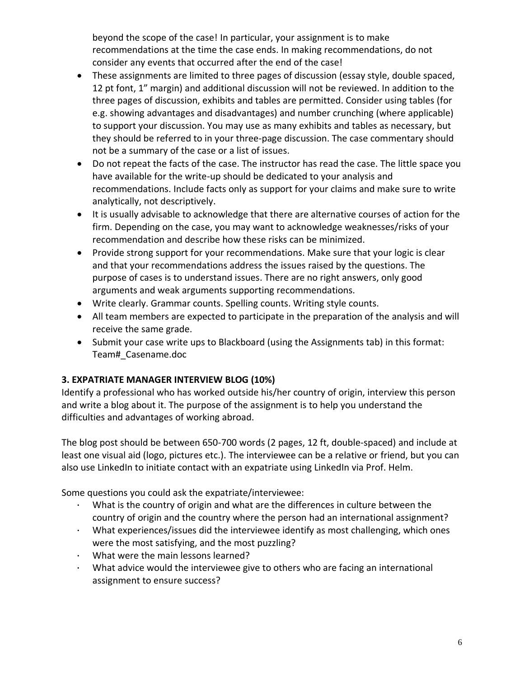beyond the scope of the case! In particular, your assignment is to make recommendations at the time the case ends. In making recommendations, do not consider any events that occurred after the end of the case!

- These assignments are limited to three pages of discussion (essay style, double spaced, 12 pt font, 1" margin) and additional discussion will not be reviewed. In addition to the three pages of discussion, exhibits and tables are permitted. Consider using tables (for e.g. showing advantages and disadvantages) and number crunching (where applicable) to support your discussion. You may use as many exhibits and tables as necessary, but they should be referred to in your three‐page discussion. The case commentary should not be a summary of the case or a list of issues.
- Do not repeat the facts of the case. The instructor has read the case. The little space you have available for the write-up should be dedicated to your analysis and recommendations. Include facts only as support for your claims and make sure to write analytically, not descriptively.
- It is usually advisable to acknowledge that there are alternative courses of action for the firm. Depending on the case, you may want to acknowledge weaknesses/risks of your recommendation and describe how these risks can be minimized.
- Provide strong support for your recommendations. Make sure that your logic is clear and that your recommendations address the issues raised by the questions. The purpose of cases is to understand issues. There are no right answers, only good arguments and weak arguments supporting recommendations.
- Write clearly. Grammar counts. Spelling counts. Writing style counts.
- All team members are expected to participate in the preparation of the analysis and will receive the same grade.
- Submit your case write ups to Blackboard (using the Assignments tab) in this format: Team#\_Casename.doc

## **3. EXPATRIATE MANAGER INTERVIEW BLOG (10%)**

Identify a professional who has worked outside his/her country of origin, interview this person and write a blog about it. The purpose of the assignment is to help you understand the difficulties and advantages of working abroad.

The blog post should be between 650-700 words (2 pages, 12 ft, double-spaced) and include at least one visual aid (logo, pictures etc.). The interviewee can be a relative or friend, but you can also use LinkedIn to initiate contact with an expatriate using LinkedIn via Prof. Helm.

Some questions you could ask the expatriate/interviewee:

- What is the country of origin and what are the differences in culture between the country of origin and the country where the person had an international assignment?
- · What experiences/issues did the interviewee identify as most challenging, which ones were the most satisfying, and the most puzzling?
- · What were the main lessons learned?
- · What advice would the interviewee give to others who are facing an international assignment to ensure success?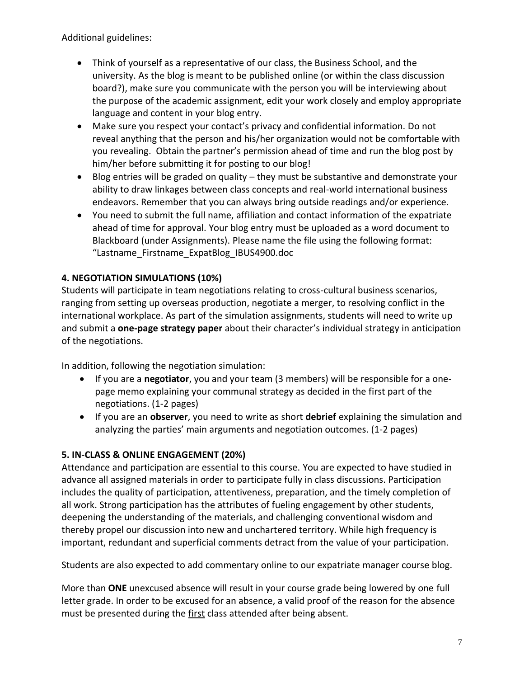Additional guidelines:

- Think of yourself as a representative of our class, the Business School, and the university. As the blog is meant to be published online (or within the class discussion board?), make sure you communicate with the person you will be interviewing about the purpose of the academic assignment, edit your work closely and employ appropriate language and content in your blog entry.
- Make sure you respect your contact's privacy and confidential information. Do not reveal anything that the person and his/her organization would not be comfortable with you revealing. Obtain the partner's permission ahead of time and run the blog post by him/her before submitting it for posting to our blog!
- Blog entries will be graded on quality they must be substantive and demonstrate your ability to draw linkages between class concepts and real-world international business endeavors. Remember that you can always bring outside readings and/or experience.
- You need to submit the full name, affiliation and contact information of the expatriate ahead of time for approval. Your blog entry must be uploaded as a word document to Blackboard (under Assignments). Please name the file using the following format: "Lastname\_Firstname\_ExpatBlog\_IBUS4900.doc

# **4. NEGOTIATION SIMULATIONS (10%)**

Students will participate in team negotiations relating to cross-cultural business scenarios, ranging from setting up overseas production, negotiate a merger, to resolving conflict in the international workplace. As part of the simulation assignments, students will need to write up and submit a **one-page strategy paper** about their character's individual strategy in anticipation of the negotiations.

In addition, following the negotiation simulation:

- If you are a **negotiator**, you and your team (3 members) will be responsible for a onepage memo explaining your communal strategy as decided in the first part of the negotiations. (1-2 pages)
- If you are an **observer**, you need to write as short **debrief** explaining the simulation and analyzing the parties' main arguments and negotiation outcomes. (1-2 pages)

## **5. IN-CLASS & ONLINE ENGAGEMENT (20%)**

Attendance and participation are essential to this course. You are expected to have studied in advance all assigned materials in order to participate fully in class discussions. Participation includes the quality of participation, attentiveness, preparation, and the timely completion of all work. Strong participation has the attributes of fueling engagement by other students, deepening the understanding of the materials, and challenging conventional wisdom and thereby propel our discussion into new and unchartered territory. While high frequency is important, redundant and superficial comments detract from the value of your participation.

Students are also expected to add commentary online to our expatriate manager course blog.

More than **ONE** unexcused absence will result in your course grade being lowered by one full letter grade. In order to be excused for an absence, a valid proof of the reason for the absence must be presented during the first class attended after being absent.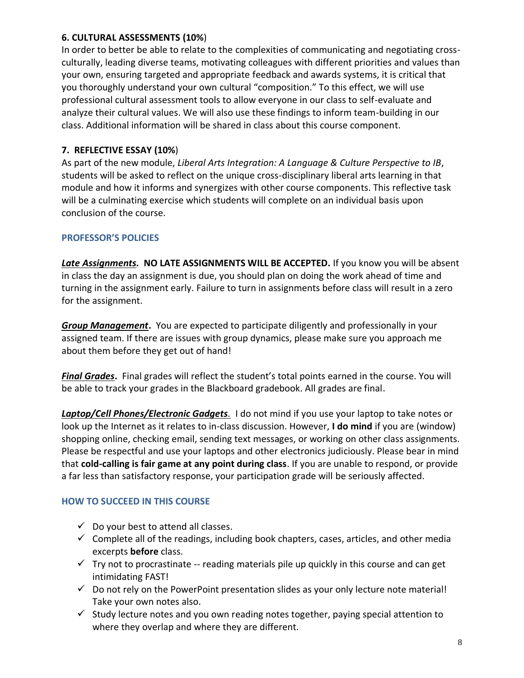## **6. CULTURAL ASSESSMENTS (10%**)

In order to better be able to relate to the complexities of communicating and negotiating crossculturally, leading diverse teams, motivating colleagues with different priorities and values than your own, ensuring targeted and appropriate feedback and awards systems, it is critical that you thoroughly understand your own cultural "composition." To this effect, we will use professional cultural assessment tools to allow everyone in our class to self-evaluate and analyze their cultural values. We will also use these findings to inform team-building in our class. Additional information will be shared in class about this course component.

# **7. REFLECTIVE ESSAY (10%**)

As part of the new module, *Liberal Arts Integration: A Language & Culture Perspective to IB*, students will be asked to reflect on the unique cross-disciplinary liberal arts learning in that module and how it informs and synergizes with other course components. This reflective task will be a culminating exercise which students will complete on an individual basis upon conclusion of the course.

## **PROFESSOR'S POLICIES**

*Late Assignments.* **NO LATE ASSIGNMENTS WILL BE ACCEPTED.** If you know you will be absent in class the day an assignment is due, you should plan on doing the work ahead of time and turning in the assignment early. Failure to turn in assignments before class will result in a zero for the assignment.

*Group Management***.** You are expected to participate diligently and professionally in your assigned team. If there are issues with group dynamics, please make sure you approach me about them before they get out of hand!

*Final Grades***.** Final grades will reflect the student's total points earned in the course. You will be able to track your grades in the Blackboard gradebook. All grades are final.

*Laptop/Cell Phones/Electronic Gadgets.* I do not mind if you use your laptop to take notes or look up the Internet as it relates to in-class discussion. However, **I do mind** if you are (window) shopping online, checking email, sending text messages, or working on other class assignments. Please be respectful and use your laptops and other electronics judiciously. Please bear in mind that **cold-calling is fair game at any point during class**. If you are unable to respond, or provide a far less than satisfactory response, your participation grade will be seriously affected.

# **HOW TO SUCCEED IN THIS COURSE**

- $\checkmark$  Do your best to attend all classes.
- $\checkmark$  Complete all of the readings, including book chapters, cases, articles, and other media excerpts **before** class.
- $\checkmark$  Try not to procrastinate -- reading materials pile up quickly in this course and can get intimidating FAST!
- $\checkmark$  Do not rely on the PowerPoint presentation slides as your only lecture note material! Take your own notes also.
- $\checkmark$  Study lecture notes and you own reading notes together, paying special attention to where they overlap and where they are different.